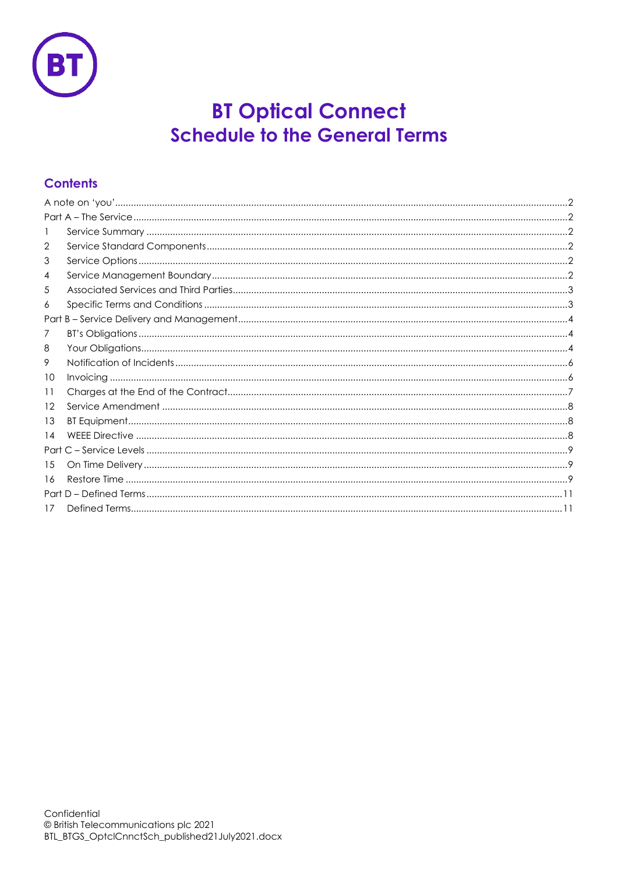

# **BT Optical Connect Schedule to the General Terms**

## **Contents**

| 2  |  |
|----|--|
| 3  |  |
| 4  |  |
| 5  |  |
| 6  |  |
|    |  |
| 7  |  |
| 8  |  |
| 9  |  |
| 10 |  |
| 11 |  |
| 12 |  |
| 13 |  |
| 14 |  |
|    |  |
| 15 |  |
| 16 |  |
|    |  |
| 17 |  |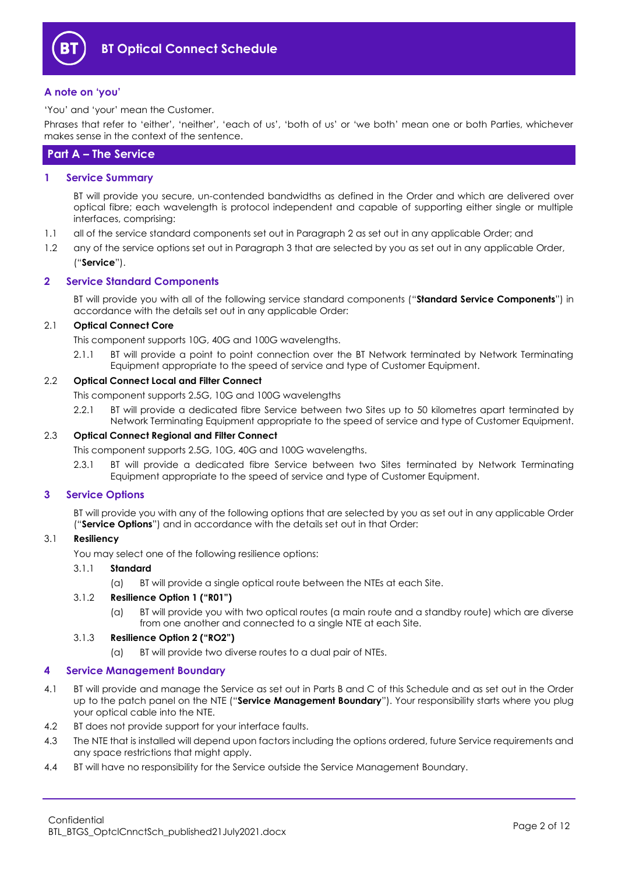

#### <span id="page-1-0"></span>**A note on 'you'**

'You' and 'your' mean the Customer.

Phrases that refer to 'either', 'neither', 'each of us', 'both of us' or 'we both' mean one or both Parties, whichever makes sense in the context of the sentence.

## <span id="page-1-1"></span>**Part A – The Service**

<span id="page-1-2"></span>**1 Service Summary**

BT will provide you secure, un-contended bandwidths as defined in the Order and which are delivered over optical fibre; each wavelength is protocol independent and capable of supporting either single or multiple interfaces, comprising:

- 1.1 all of the service standard components set out in Paragraph [2](#page-1-3) as set out in any applicable Order; and
- 1.2 any of the service options set out in Paragraph [3](#page-1-4) that are selected by you as set out in any applicable Order, ("**Service**").

## <span id="page-1-3"></span>**2 Service Standard Components**

BT will provide you with all of the following service standard components ("**Standard Service Components**") in accordance with the details set out in any applicable Order:

## 2.1 **Optical Connect Core**

This component supports 10G, 40G and 100G wavelengths.

2.1.1 BT will provide a point to point connection over the BT Network terminated by Network Terminating Equipment appropriate to the speed of service and type of Customer Equipment.

## 2.2 **Optical Connect Local and Filter Connect**

This component supports 2.5G, 10G and 100G wavelengths

2.2.1 BT will provide a dedicated fibre Service between two Sites up to 50 kilometres apart terminated by Network Terminating Equipment appropriate to the speed of service and type of Customer Equipment.

#### 2.3 **Optical Connect Regional and Filter Connect**

This component supports 2.5G, 10G, 40G and 100G wavelengths.

2.3.1 BT will provide a dedicated fibre Service between two Sites terminated by Network Terminating Equipment appropriate to the speed of service and type of Customer Equipment.

#### <span id="page-1-4"></span>**3 Service Options**

BT will provide you with any of the following options that are selected by you as set out in any applicable Order ("**Service Options**") and in accordance with the details set out in that Order:

#### 3.1 **Resiliency**

You may select one of the following resilience options:

#### 3.1.1 **Standard**

(a) BT will provide a single optical route between the NTEs at each Site.

#### 3.1.2 **Resilience Option 1 ("R01")**

(a) BT will provide you with two optical routes (a main route and a standby route) which are diverse from one another and connected to a single NTE at each Site.

#### 3.1.3 **Resilience Option 2 ("RO2")**

(a) BT will provide two diverse routes to a dual pair of NTEs.

## <span id="page-1-5"></span>**4 Service Management Boundary**

- <span id="page-1-6"></span>4.1 BT will provide and manage the Service as set out in Parts B and C of this Schedule and as set out in the Order up to the patch panel on the NTE ("**Service Management Boundary**"). Your responsibility starts where you plug your optical cable into the NTE.
- 4.2 BT does not provide support for your interface faults.
- 4.3 The NTE that is installed will depend upon factors including the options ordered, future Service requirements and any space restrictions that might apply.
- 4.4 BT will have no responsibility for the Service outside the Service Management Boundary.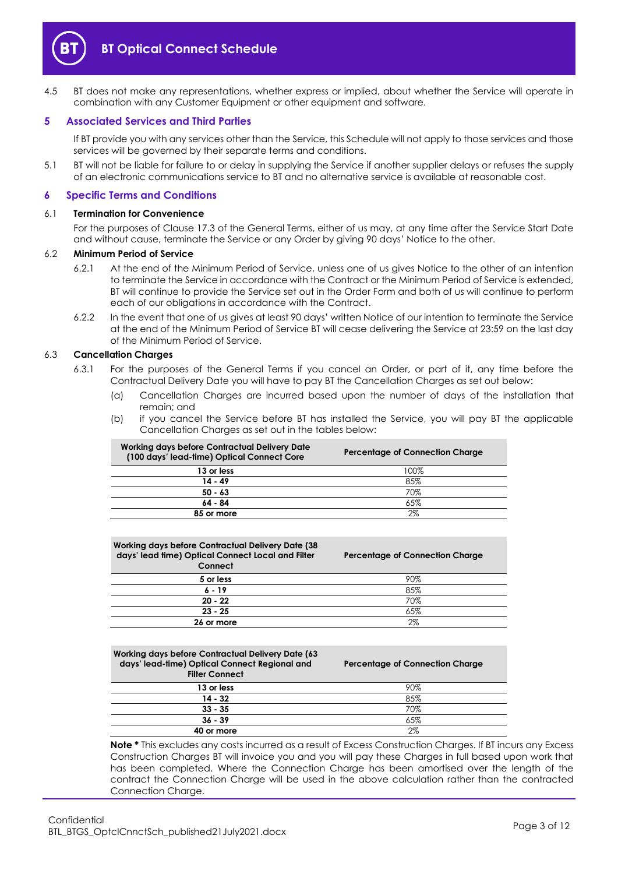

4.5 BT does not make any representations, whether express or implied, about whether the Service will operate in combination with any Customer Equipment or other equipment and software.

#### <span id="page-2-0"></span>**5 Associated Services and Third Parties**

If BT provide you with any services other than the Service, this Schedule will not apply to those services and those services will be governed by their separate terms and conditions.

5.1 BT will not be liable for failure to or delay in supplying the Service if another supplier delays or refuses the supply of an electronic communications service to BT and no alternative service is available at reasonable cost.

#### <span id="page-2-1"></span>**6 Specific Terms and Conditions**

#### 6.1 **Termination for Convenience**

For the purposes of Clause 17.3 of the General Terms, either of us may, at any time after the Service Start Date and without cause, terminate the Service or any Order by giving 90 days' Notice to the other.

#### <span id="page-2-2"></span>6.2 **Minimum Period of Service**

- 6.2.1 At the end of the Minimum Period of Service, unless one of us gives Notice to the other of an intention to terminate the Service in accordance with the Contract or the Minimum Period of Service is extended, BT will continue to provide the Service set out in the Order Form and both of us will continue to perform each of our obligations in accordance with the Contract.
- 6.2.2 In the event that one of us gives at least 90 days' written Notice of our intention to terminate the Service at the end of the Minimum Period of Service BT will cease delivering the Service at 23:59 on the last day of the Minimum Period of Service.

#### 6.3 **Cancellation Charges**

- 6.3.1 For the purposes of the General Terms if you cancel an Order, or part of it, any time before the Contractual Delivery Date you will have to pay BT the Cancellation Charges as set out below:
	- (a) Cancellation Charges are incurred based upon the number of days of the installation that remain; and
	- (b) if you cancel the Service before BT has installed the Service, you will pay BT the applicable Cancellation Charges as set out in the tables below:

| Percentage of Connection Charge |
|---------------------------------|
| 100%                            |
| 85%                             |
| 70%                             |
| 65%                             |
| 2%                              |
|                                 |

| <b>Working days before Contractual Delivery Date (38)</b><br>days' lead time) Optical Connect Local and Filter<br>Connect | <b>Percentage of Connection Charge</b> |
|---------------------------------------------------------------------------------------------------------------------------|----------------------------------------|
| 5 or less                                                                                                                 | 90%                                    |
| $6 - 19$                                                                                                                  | 85%                                    |
| $20 - 22$                                                                                                                 | 70%                                    |
| $23 - 25$                                                                                                                 | 65%                                    |
| 26 or more                                                                                                                | 2%                                     |

| <b>Working days before Contractual Delivery Date (63)</b><br>days' lead-time) Optical Connect Regional and<br><b>Filter Connect</b> | <b>Percentage of Connection Charge</b> |  |  |
|-------------------------------------------------------------------------------------------------------------------------------------|----------------------------------------|--|--|
| 13 or less                                                                                                                          | 90%                                    |  |  |
| $14 - 32$                                                                                                                           | 85%                                    |  |  |
| $33 - 35$                                                                                                                           | 70%                                    |  |  |
| $36 - 39$                                                                                                                           | 65%                                    |  |  |
| 40 or more                                                                                                                          | 2%                                     |  |  |

**Note \*** This excludes any costs incurred as a result of Excess Construction Charges. If BT incurs any Excess Construction Charges BT will invoice you and you will pay these Charges in full based upon work that has been completed. Where the Connection Charge has been amortised over the length of the contract the Connection Charge will be used in the above calculation rather than the contracted Connection Charge.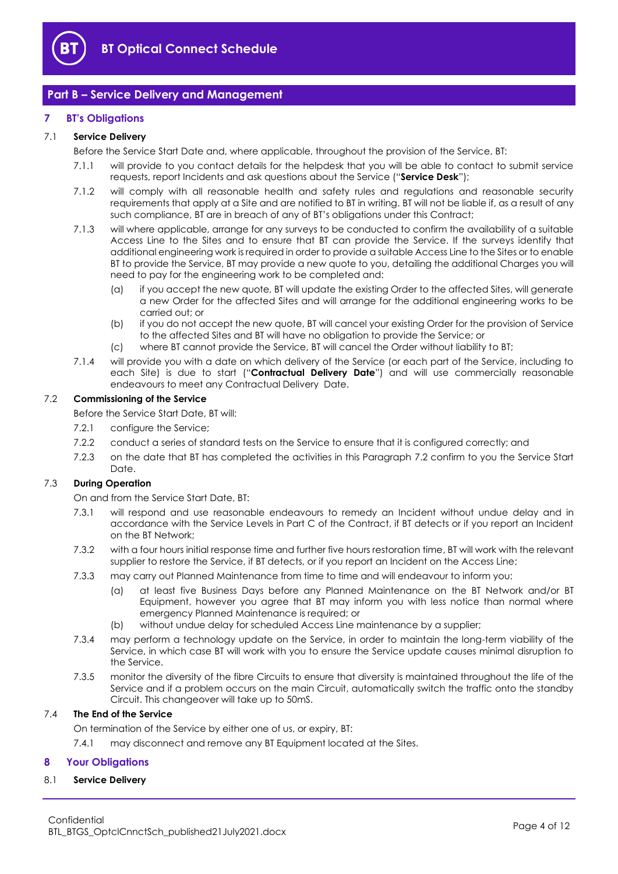

## <span id="page-3-0"></span>**Part B – Service Delivery and Management**

#### <span id="page-3-1"></span>**7 BT's Obligations**

## <span id="page-3-5"></span>7.1 **Service Delivery**

Before the Service Start Date and, where applicable, throughout the provision of the Service, BT:

- 7.1.1 will provide to you contact details for the helpdesk that you will be able to contact to submit service requests, report Incidents and ask questions about the Service ("**Service Desk**");
- 7.1.2 will comply with all reasonable health and safety rules and regulations and reasonable security requirements that apply at a Site and are notified to BT in writing. BT will not be liable if, as a result of any such compliance, BT are in breach of any of BT's obligations under this Contract;
- 7.1.3 will where applicable, arrange for any surveys to be conducted to confirm the availability of a suitable Access Line to the Sites and to ensure that BT can provide the Service. If the surveys identify that additional engineering work is required in order to provide a suitable Access Line to the Sites or to enable BT to provide the Service, BT may provide a new quote to you, detailing the additional Charges you will need to pay for the engineering work to be completed and:
	- (a) if you accept the new quote, BT will update the existing Order to the affected Sites, will generate a new Order for the affected Sites and will arrange for the additional engineering works to be carried out; or
	- (b) if you do not accept the new quote, BT will cancel your existing Order for the provision of Service to the affected Sites and BT will have no obligation to provide the Service; or
	- (c) where BT cannot provide the Service, BT will cancel the Order without liability to BT;
- <span id="page-3-4"></span>7.1.4 will provide you with a date on which delivery of the Service (or each part of the Service, including to each Site) is due to start ("**Contractual Delivery Date**") and will use commercially reasonable endeavours to meet any Contractual Delivery Date.

#### <span id="page-3-3"></span>7.2 **Commissioning of the Service**

Before the Service Start Date, BT will:

- 7.2.1 configure the Service;
- 7.2.2 conduct a series of standard tests on the Service to ensure that it is configured correctly; and
- 7.2.3 on the date that BT has completed the activities in this Paragraph [7.2](#page-3-3) confirm to you the Service Start Date.

#### 7.3 **During Operation**

On and from the Service Start Date, BT:

- 7.3.1 will respond and use reasonable endeavours to remedy an Incident without undue delay and in accordance with the Service Levels in Part C of the Contract, if BT detects or if you report an Incident on the BT Network;
- 7.3.2 with a four hours initial response time and further five hours restoration time, BT will work with the relevant supplier to restore the Service, if BT detects, or if you report an Incident on the Access Line;
- 7.3.3 may carry out Planned Maintenance from time to time and will endeavour to inform you:
	- (a) at least five Business Days before any Planned Maintenance on the BT Network and/or BT Equipment, however you agree that BT may inform you with less notice than normal where emergency Planned Maintenance is required; or
	- (b) without undue delay for scheduled Access Line maintenance by a supplier;
- 7.3.4 may perform a technology update on the Service, in order to maintain the long-term viability of the Service, in which case BT will work with you to ensure the Service update causes minimal disruption to the Service.
- 7.3.5 monitor the diversity of the fibre Circuits to ensure that diversity is maintained throughout the life of the Service and if a problem occurs on the main Circuit, automatically switch the traffic onto the standby Circuit. This changeover will take up to 50mS.

#### 7.4 **The End of the Service**

On termination of the Service by either one of us, or expiry, BT:

7.4.1 may disconnect and remove any BT Equipment located at the Sites.

#### <span id="page-3-2"></span>**8 Your Obligations**

#### 8.1 **Service Delivery**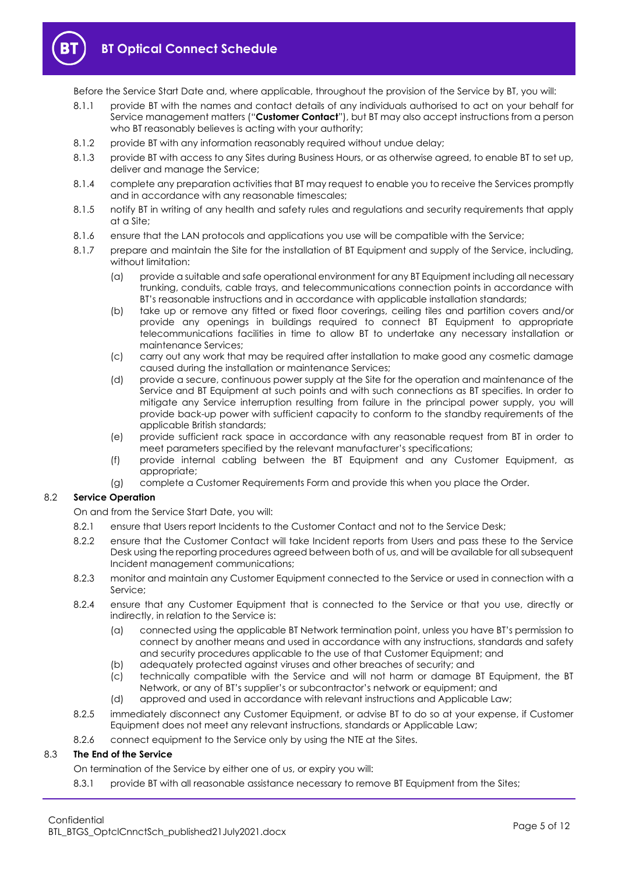

Before the Service Start Date and, where applicable, throughout the provision of the Service by BT, you will:

- <span id="page-4-0"></span>8.1.1 provide BT with the names and contact details of any individuals authorised to act on your behalf for Service management matters ("**Customer Contact**"), but BT may also accept instructions from a person who BT reasonably believes is acting with your authority;
- 8.1.2 provide BT with any information reasonably required without undue delay;
- 8.1.3 provide BT with access to any Sites during Business Hours, or as otherwise agreed, to enable BT to set up, deliver and manage the Service;
- 8.1.4 complete any preparation activities that BT may request to enable you to receive the Services promptly and in accordance with any reasonable timescales;
- 8.1.5 notify BT in writing of any health and safety rules and regulations and security requirements that apply at a Site;
- 8.1.6 ensure that the LAN protocols and applications you use will be compatible with the Service;
- 8.1.7 prepare and maintain the Site for the installation of BT Equipment and supply of the Service, including, without limitation:
	- (a) provide a suitable and safe operational environment for any BT Equipment including all necessary trunking, conduits, cable trays, and telecommunications connection points in accordance with BT's reasonable instructions and in accordance with applicable installation standards;
	- (b) take up or remove any fitted or fixed floor coverings, ceiling tiles and partition covers and/or provide any openings in buildings required to connect BT Equipment to appropriate telecommunications facilities in time to allow BT to undertake any necessary installation or maintenance Services;
	- (c) carry out any work that may be required after installation to make good any cosmetic damage caused during the installation or maintenance Services;
	- (d) provide a secure, continuous power supply at the Site for the operation and maintenance of the Service and BT Equipment at such points and with such connections as BT specifies. In order to mitigate any Service interruption resulting from failure in the principal power supply, you will provide back-up power with sufficient capacity to conform to the standby requirements of the applicable British standards;
	- (e) provide sufficient rack space in accordance with any reasonable request from BT in order to meet parameters specified by the relevant manufacturer's specifications;
	- (f) provide internal cabling between the BT Equipment and any Customer Equipment, as appropriate;
	- (g) complete a Customer Requirements Form and provide this when you place the Order.

## 8.2 **Service Operation**

On and from the Service Start Date, you will:

- 8.2.1 ensure that Users report Incidents to the Customer Contact and not to the Service Desk;
- 8.2.2 ensure that the Customer Contact will take Incident reports from Users and pass these to the Service Desk using the reporting procedures agreed between both of us, and will be available for all subsequent Incident management communications;
- 8.2.3 monitor and maintain any Customer Equipment connected to the Service or used in connection with a Service;
- 8.2.4 ensure that any Customer Equipment that is connected to the Service or that you use, directly or indirectly, in relation to the Service is:
	- (a) connected using the applicable BT Network termination point, unless you have BT's permission to connect by another means and used in accordance with any instructions, standards and safety and security procedures applicable to the use of that Customer Equipment; and
	- (b) adequately protected against viruses and other breaches of security; and
	- (c) technically compatible with the Service and will not harm or damage BT Equipment, the BT Network, or any of BT's supplier's or subcontractor's network or equipment; and
	- (d) approved and used in accordance with relevant instructions and Applicable Law;
- 8.2.5 immediately disconnect any Customer Equipment, or advise BT to do so at your expense, if Customer Equipment does not meet any relevant instructions, standards or Applicable Law;
- 8.2.6 connect equipment to the Service only by using the NTE at the Sites.

## 8.3 **The End of the Service**

On termination of the Service by either one of us, or expiry you will:

8.3.1 provide BT with all reasonable assistance necessary to remove BT Equipment from the Sites;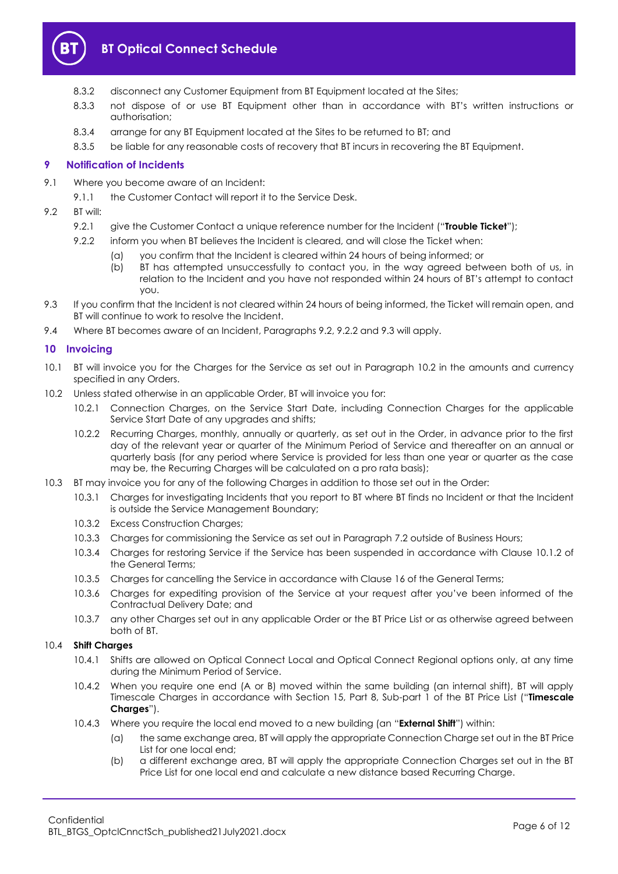

- 8.3.2 disconnect any Customer Equipment from BT Equipment located at the Sites;
- 8.3.3 not dispose of or use BT Equipment other than in accordance with BT's written instructions or authorisation;
- 8.3.4 arrange for any BT Equipment located at the Sites to be returned to BT; and
- 8.3.5 be liable for any reasonable costs of recovery that BT incurs in recovering the BT Equipment.

## <span id="page-5-0"></span>**9 Notification of Incidents**

- 9.1 Where you become aware of an Incident:
	- 9.1.1 the Customer Contact will report it to the Service Desk.
- <span id="page-5-6"></span><span id="page-5-3"></span><span id="page-5-2"></span>9.2 BT will:
	- 9.2.1 give the Customer Contact a unique reference number for the Incident ("**Trouble Ticket**");
	- 9.2.2 inform you when BT believes the Incident is cleared, and will close the Ticket when:
		- (a) you confirm that the Incident is cleared within 24 hours of being informed; or
		- (b) BT has attempted unsuccessfully to contact you, in the way agreed between both of us, in relation to the Incident and you have not responded within 24 hours of BT's attempt to contact you.
- <span id="page-5-4"></span>9.3 If you confirm that the Incident is not cleared within 24 hours of being informed, the Ticket will remain open, and BT will continue to work to resolve the Incident.
- 9.4 Where BT becomes aware of an Incident, Paragraphs [9.2,](#page-5-2) [9.2.2](#page-5-3) an[d 9.3](#page-5-4) will apply.

## <span id="page-5-1"></span>**10 Invoicing**

- 10.1 BT will invoice you for the Charges for the Service as set out in Paragraph [10.2](#page-5-5) in the amounts and currency specified in any Orders.
- <span id="page-5-5"></span>10.2 Unless stated otherwise in an applicable Order, BT will invoice you for:
	- 10.2.1 Connection Charges, on the Service Start Date, including Connection Charges for the applicable Service Start Date of any upgrades and shifts;
	- 10.2.2 Recurring Charges, monthly, annually or quarterly, as set out in the Order, in advance prior to the first day of the relevant year or quarter of the Minimum Period of Service and thereafter on an annual or quarterly basis (for any period where Service is provided for less than one year or quarter as the case may be, the Recurring Charges will be calculated on a pro rata basis);
- 10.3 BT may invoice you for any of the following Charges in addition to those set out in the Order:
	- 10.3.1 Charges for investigating Incidents that you report to BT where BT finds no Incident or that the Incident is outside the Service Management Boundary;
	- 10.3.2 Excess Construction Charges;
	- 10.3.3 Charges for commissioning the Service as set out in Paragraph [7.2](#page-3-3) outside of Business Hours;
	- 10.3.4 Charges for restoring Service if the Service has been suspended in accordance with Clause 10.1.2 of the General Terms;
	- 10.3.5 Charges for cancelling the Service in accordance with Clause 16 of the General Terms;
	- 10.3.6 Charges for expediting provision of the Service at your request after you've been informed of the Contractual Delivery Date; and
	- 10.3.7 any other Charges set out in any applicable Order or the BT Price List or as otherwise agreed between both of BT.

#### 10.4 **Shift Charges**

- 10.4.1 Shifts are allowed on Optical Connect Local and Optical Connect Regional options only, at any time during the Minimum Period of Service.
- 10.4.2 When you require one end (A or B) moved within the same building (an internal shift), BT will apply Timescale Charges in accordance with Section 15, Part 8, Sub-part 1 of the BT Price List ("**Timescale Charges**").
- 10.4.3 Where you require the local end moved to a new building (an "**External Shift**") within:
	- (a) the same exchange area, BT will apply the appropriate Connection Charge set out in the BT Price List for one local end;
	- (b) a different exchange area, BT will apply the appropriate Connection Charges set out in the BT Price List for one local end and calculate a new distance based Recurring Charge.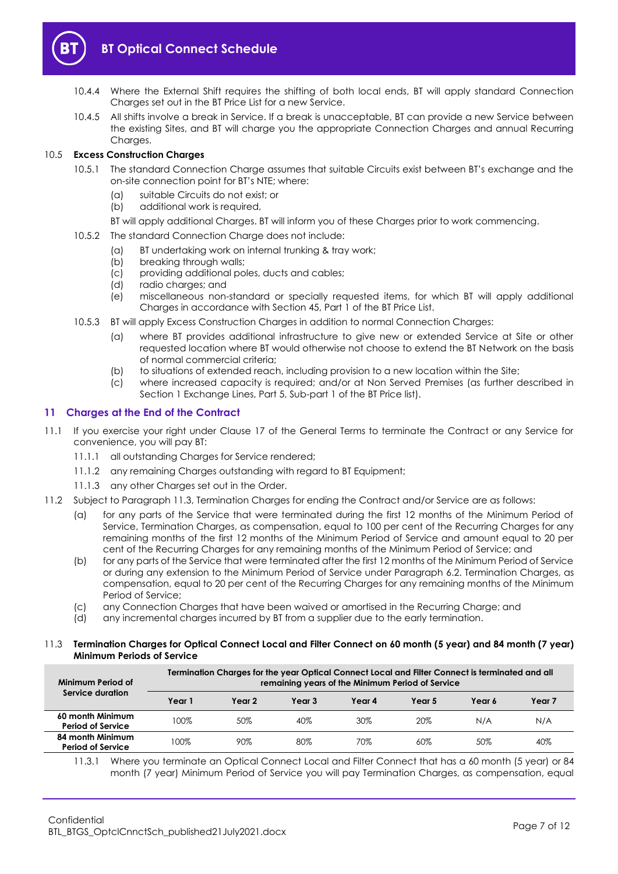

- 10.4.4 Where the External Shift requires the shifting of both local ends, BT will apply standard Connection Charges set out in the BT Price List for a new Service.
- 10.4.5 All shifts involve a break in Service. If a break is unacceptable, BT can provide a new Service between the existing Sites, and BT will charge you the appropriate Connection Charges and annual Recurring Charaes.

## 10.5 **Excess Construction Charges**

- 10.5.1 The standard Connection Charge assumes that suitable Circuits exist between BT's exchange and the on-site connection point for BT's NTE; where:
	- (a) suitable Circuits do not exist; or
	- (b) additional work is required,
	- BT will apply additional Charges. BT will inform you of these Charges prior to work commencing.
- 10.5.2 The standard Connection Charge does not include:
	- (a) BT undertaking work on internal trunking & tray work;
		- (b) breaking through walls;
		- (c) providing additional poles, ducts and cables;
		- (d) radio charges; and
		- (e) miscellaneous non-standard or specially requested items, for which BT will apply additional Charges in accordance with Section 45, Part 1 of the BT Price List.
- 10.5.3 BT will apply Excess Construction Charges in addition to normal Connection Charges:
	- (a) where BT provides additional infrastructure to give new or extended Service at Site or other requested location where BT would otherwise not choose to extend the BT Network on the basis of normal commercial criteria;
	- (b) to situations of extended reach, including provision to a new location within the Site;
	- (c) where increased capacity is required; and/or at Non Served Premises (as further described in Section 1 Exchange Lines, Part 5, Sub-part 1 of the BT Price list).

## <span id="page-6-0"></span>**11 Charges at the End of the Contract**

- 11.1 If you exercise your right under Clause 17 of the General Terms to terminate the Contract or any Service for convenience, you will pay BT:
	- 11.1.1 all outstanding Charges for Service rendered;
	- 11.1.2 any remaining Charges outstanding with regard to BT Equipment;
	- 11.1.3 any other Charges set out in the Order.
- <span id="page-6-2"></span>11.2 Subject to Paragraph [11.3,](#page-6-1) Termination Charges for ending the Contract and/or Service are as follows:
	- (a) for any parts of the Service that were terminated during the first 12 months of the Minimum Period of Service, Termination Charges, as compensation, equal to 100 per cent of the Recurring Charges for any remaining months of the first 12 months of the Minimum Period of Service and amount equal to 20 per cent of the Recurring Charges for any remaining months of the Minimum Period of Service; and
	- (b) for any parts of the Service that were terminated after the first 12 months of the Minimum Period of Service or during any extension to the Minimum Period of Service under Paragraph [6.2.](#page-2-2) Termination Charges, as compensation, equal to 20 per cent of the Recurring Charges for any remaining months of the Minimum Period of Service;
	- (c) any Connection Charges that have been waived or amortised in the Recurring Charge; and
	- (d) any incremental charges incurred by BT from a supplier due to the early termination.

#### <span id="page-6-1"></span>11.3 **Termination Charges for Optical Connect Local and Filter Connect on 60 month (5 year) and 84 month (7 year) Minimum Periods of Service**

| Minimum Period of                            | Termination Charges for the year Optical Connect Local and Filter Connect is terminated and all<br>remaining years of the Minimum Period of Service |        |        |        |        |        |        |
|----------------------------------------------|-----------------------------------------------------------------------------------------------------------------------------------------------------|--------|--------|--------|--------|--------|--------|
| Service duration                             | Year 1                                                                                                                                              | Year 2 | Year 3 | Year 4 | Year 5 | Year 6 | Year 7 |
| 60 month Minimum<br><b>Period of Service</b> | 100%                                                                                                                                                | 50%    | 40%    | 30%    | 20%    | N/A    | N/A    |
| 84 month Minimum<br><b>Period of Service</b> | 100%                                                                                                                                                | 90%    | 80%    | 70%    | $60\%$ | 50%    | 40%    |

11.3.1 Where you terminate an Optical Connect Local and Filter Connect that has a 60 month (5 year) or 84 month (7 year) Minimum Period of Service you will pay Termination Charges, as compensation, equal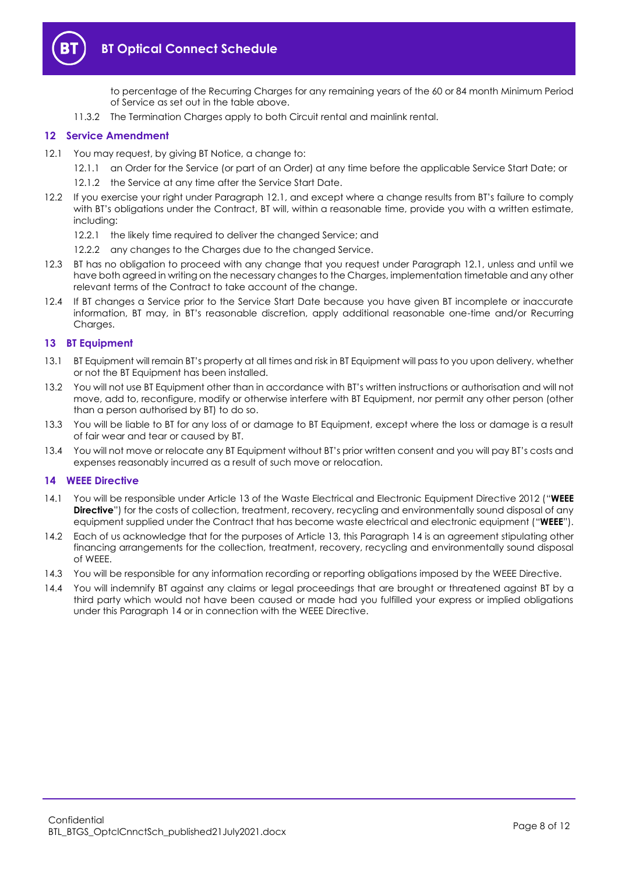

to percentage of the Recurring Charges for any remaining years of the 60 or 84 month Minimum Period of Service as set out in the table above.

11.3.2 The Termination Charges apply to both Circuit rental and mainlink rental.

## <span id="page-7-0"></span>**12 Service Amendment**

- <span id="page-7-3"></span>12.1 You may request, by giving BT Notice, a change to:
	- 12.1.1 an Order for the Service (or part of an Order) at any time before the applicable Service Start Date; or
	- 12.1.2 the Service at any time after the Service Start Date.
- 12.2 If you exercise your right under Paragraph [12.1](#page-7-3), and except where a change results from BT's failure to comply with BT's obligations under the Contract, BT will, within a reasonable time, provide you with a written estimate, including:
	- 12.2.1 the likely time required to deliver the changed Service; and
	- 12.2.2 any changes to the Charges due to the changed Service.
- 12.3 BT has no obligation to proceed with any change that you request under Paragraph [12.1,](#page-7-3) unless and until we have both agreed in writing on the necessary changes to the Charges, implementation timetable and any other relevant terms of the Contract to take account of the change.
- 12.4 If BT changes a Service prior to the Service Start Date because you have given BT incomplete or inaccurate information, BT may, in BT's reasonable discretion, apply additional reasonable one-time and/or Recurring Charaes.

#### <span id="page-7-1"></span>**13 BT Equipment**

- 13.1 BT Equipment will remain BT's property at all times and risk in BT Equipment will pass to you upon delivery, whether or not the BT Equipment has been installed.
- 13.2 You will not use BT Equipment other than in accordance with BT's written instructions or authorisation and will not move, add to, reconfigure, modify or otherwise interfere with BT Equipment, nor permit any other person (other than a person authorised by BT) to do so.
- 13.3 You will be liable to BT for any loss of or damage to BT Equipment, except where the loss or damage is a result of fair wear and tear or caused by BT.
- 13.4 You will not move or relocate any BT Equipment without BT's prior written consent and you will pay BT's costs and expenses reasonably incurred as a result of such move or relocation.

#### <span id="page-7-2"></span>**14 WEEE Directive**

- <span id="page-7-4"></span>14.1 You will be responsible under Article 13 of the Waste Electrical and Electronic Equipment Directive 2012 ("**WEEE Directive**") for the costs of collection, treatment, recovery, recycling and environmentally sound disposal of any equipment supplied under the Contract that has become waste electrical and electronic equipment ("**WEEE**").
- 14.2 Each of us acknowledge that for the purposes of Article 13, this Paragrap[h 14](#page-7-2) is an agreement stipulating other financing arrangements for the collection, treatment, recovery, recycling and environmentally sound disposal of WEEE.
- 14.3 You will be responsible for any information recording or reporting obligations imposed by the WEEE Directive.
- 14.4 You will indemnify BT against any claims or legal proceedings that are brought or threatened against BT by a third party which would not have been caused or made had you fulfilled your express or implied obligations under this Paragraph [14](#page-7-2) or in connection with the WEEE Directive.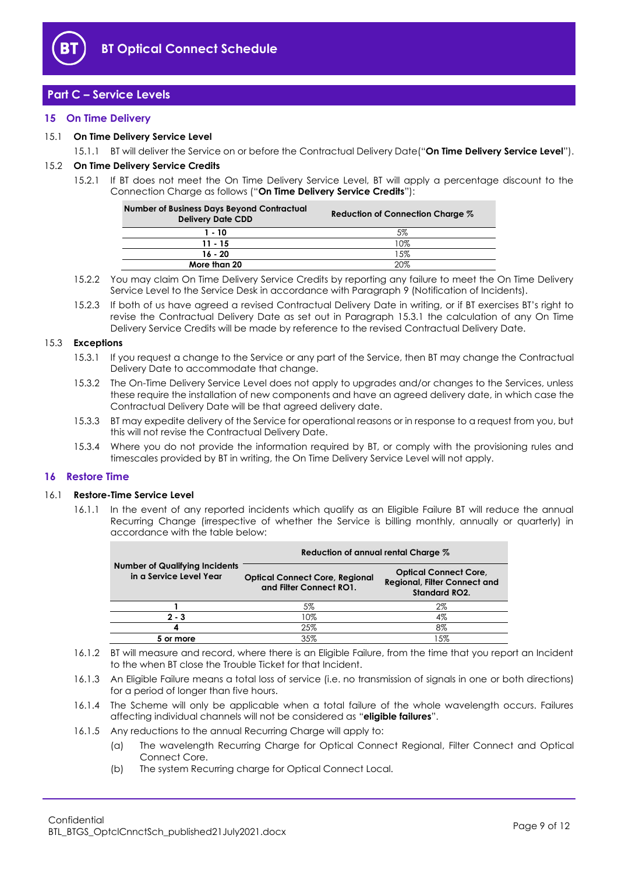

## <span id="page-8-0"></span>**Part C – Service Levels**

#### <span id="page-8-1"></span>**15 On Time Delivery**

#### <span id="page-8-5"></span>15.1 **On Time Delivery Service Level**

15.1.1 BT will deliver the Service on or before the Contractual Delivery Date("**On Time Delivery Service Level**").

#### <span id="page-8-4"></span>15.2 **On Time Delivery Service Credits**

15.2.1 If BT does not meet the On Time Delivery Service Level, BT will apply a percentage discount to the Connection Charge as follows ("**On Time Delivery Service Credits**"):

| <b>Number of Business Days Beyond Contractual</b><br><b>Delivery Date CDD</b> | Reduction of Connection Charge % |
|-------------------------------------------------------------------------------|----------------------------------|
| $1 - 10$                                                                      | 5%                               |
| $11 - 15$                                                                     | 10%                              |
| $16 - 20$                                                                     | 15%                              |
| More than 20                                                                  | 20%                              |

- 15.2.2 You may claim On Time Delivery Service Credits by reporting any failure to meet the On Time Delivery Service Level to the Service Desk in accordance with Paragrap[h 9](#page-5-0) (Notification of Incidents).
- 15.2.3 If both of us have agreed a revised Contractual Delivery Date in writing, or if BT exercises BT's right to revise the Contractual Delivery Date as set out in Paragraph [15.3.1](#page-8-3) the calculation of any On Time Delivery Service Credits will be made by reference to the revised Contractual Delivery Date.

#### <span id="page-8-3"></span>15.3 **Exceptions**

- 15.3.1 If you request a change to the Service or any part of the Service, then BT may change the Contractual Delivery Date to accommodate that change.
- 15.3.2 The On-Time Delivery Service Level does not apply to upgrades and/or changes to the Services, unless these require the installation of new components and have an agreed delivery date, in which case the Contractual Delivery Date will be that agreed delivery date.
- 15.3.3 BT may expedite delivery of the Service for operational reasons or in response to a request from you, but this will not revise the Contractual Delivery Date.
- 15.3.4 Where you do not provide the information required by BT, or comply with the provisioning rules and timescales provided by BT in writing, the On Time Delivery Service Level will not apply.

#### <span id="page-8-2"></span>**16 Restore Time**

#### <span id="page-8-6"></span>16.1 **Restore-Time Service Level**

16.1.1 In the event of any reported incidents which qualify as an Eligible Failure BT will reduce the annual Recurring Change (irrespective of whether the Service is billing monthly, annually or quarterly) in accordance with the table below:

|                                                                  | Reduction of annual rental Charge %                              |                                                                                             |  |  |
|------------------------------------------------------------------|------------------------------------------------------------------|---------------------------------------------------------------------------------------------|--|--|
| <b>Number of Qualifying Incidents</b><br>in a Service Level Year | <b>Optical Connect Core, Regional</b><br>and Filter Connect RO1. | <b>Optical Connect Core,</b><br><b>Regional, Filter Connect and</b><br><b>Standard RO2.</b> |  |  |
|                                                                  | 5%                                                               | 2%                                                                                          |  |  |
| $2 - 3$                                                          | 10%                                                              | 4%                                                                                          |  |  |
| 4                                                                | 25%                                                              | 8%                                                                                          |  |  |
| or more                                                          | 35%                                                              | 15%                                                                                         |  |  |

- 16.1.2 BT will measure and record, where there is an Eligible Failure, from the time that you report an Incident to the when BT close the Trouble Ticket for that Incident.
- 16.1.3 An Eligible Failure means a total loss of service (i.e. no transmission of signals in one or both directions) for a period of longer than five hours.
- 16.1.4 The Scheme will only be applicable when a total failure of the whole wavelength occurs. Failures affecting individual channels will not be considered as "**eligible failures**".
- 16.1.5 Any reductions to the annual Recurring Charge will apply to:
	- (a) The wavelength Recurring Charge for Optical Connect Regional, Filter Connect and Optical Connect Core.
	- (b) The system Recurring charge for Optical Connect Local.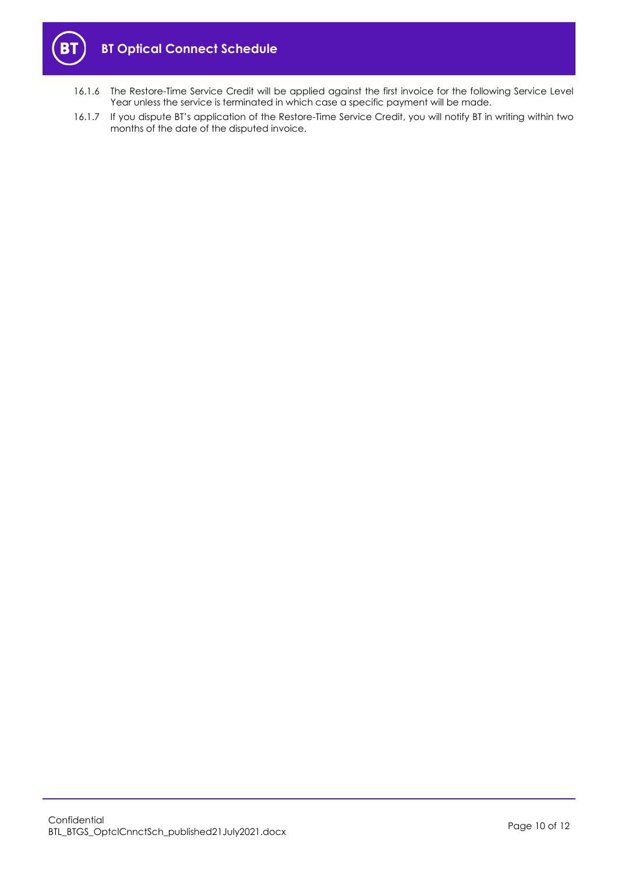

- 16.1.6 The Restore-Time Service Credit will be applied against the first invoice for the following Service Level Year unless the service is terminated in which case a specific payment will be made.
- 16.1.7 If you dispute BT's application of the Restore-Time Service Credit, you will notify BT in writing within two months of the date of the disputed invoice.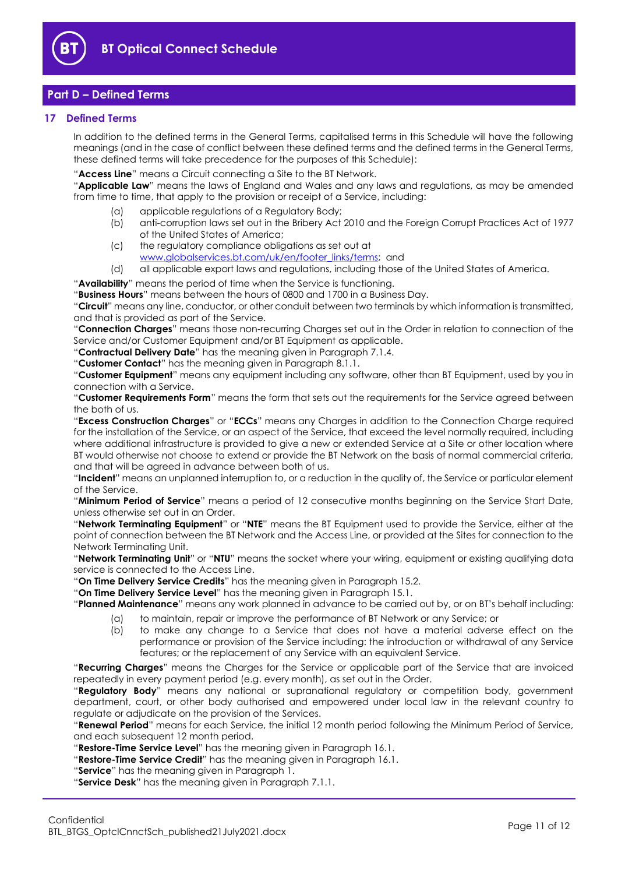

## <span id="page-10-0"></span>**Part D – Defined Terms**

#### <span id="page-10-1"></span>**17 Defined Terms**

In addition to the defined terms in the General Terms, capitalised terms in this Schedule will have the following meanings (and in the case of conflict between these defined terms and the defined terms in the General Terms, these defined terms will take precedence for the purposes of this Schedule):

"**Access Line**" means a Circuit connecting a Site to the BT Network.

"**Applicable Law**" means the laws of England and Wales and any laws and regulations, as may be amended from time to time, that apply to the provision or receipt of a Service, including:

- (a) applicable regulations of a Regulatory Body;
- (b) anti-corruption laws set out in the Bribery Act 2010 and the Foreign Corrupt Practices Act of 1977 of the United States of America;
- (c) the regulatory compliance obligations as set out at [www.globalservices.bt.com/uk/en/footer\\_links/terms;](https://www.globalservices.bt.com/uk/en/footer_links/terms) and
- (d) all applicable export laws and regulations, including those of the United States of America.
- "**Availability**" means the period of time when the Service is functioning.

"**Business Hours**" means between the hours of 0800 and 1700 in a Business Day.

"**Circuit**" means any line, conductor, or other conduit between two terminals by which information is transmitted, and that is provided as part of the Service.

"**Connection Charges**" means those non-recurring Charges set out in the Order in relation to connection of the Service and/or Customer Equipment and/or BT Equipment as applicable.

"**Contractual Delivery Date**" has the meaning given in Paragraph [7.1.4.](#page-3-4)

"**Customer Contact**" has the meaning given in Paragraph [8.1.1.](#page-4-0)

"**Customer Equipment**" means any equipment including any software, other than BT Equipment, used by you in connection with a Service.

"**Customer Requirements Form**" means the form that sets out the requirements for the Service agreed between the both of us.

"**Excess Construction Charges**" or "**ECCs**" means any Charges in addition to the Connection Charge required for the installation of the Service, or an aspect of the Service, that exceed the level normally required, including where additional infrastructure is provided to give a new or extended Service at a Site or other location where BT would otherwise not choose to extend or provide the BT Network on the basis of normal commercial criteria, and that will be agreed in advance between both of us.

"**Incident**" means an unplanned interruption to, or a reduction in the quality of, the Service or particular element of the Service.

"**Minimum Period of Service**" means a period of 12 consecutive months beginning on the Service Start Date, unless otherwise set out in an Order.

"**Network Terminating Equipment**" or "**NTE**" means the BT Equipment used to provide the Service, either at the point of connection between the BT Network and the Access Line, or provided at the Sites for connection to the Network Terminating Unit.

"**Network Terminating Unit**" or "**NTU**" means the socket where your wiring, equipment or existing qualifying data service is connected to the Access Line.

"**On Time Delivery Service Credits**" has the meaning given in Paragraph [15.2.](#page-8-4)

"**On Time Delivery Service Level**" has the meaning given in Paragrap[h 15.1.](#page-8-5)

"**Planned Maintenance**" means any work planned in advance to be carried out by, or on BT's behalf including:

- (a) to maintain, repair or improve the performance of BT Network or any Service; or
- (b) to make any change to a Service that does not have a material adverse effect on the performance or provision of the Service including: the introduction or withdrawal of any Service features; or the replacement of any Service with an equivalent Service.

"**Recurring Charges**" means the Charges for the Service or applicable part of the Service that are invoiced repeatedly in every payment period (e.g. every month), as set out in the Order.

"**Regulatory Body**" means any national or supranational regulatory or competition body, government department, court, or other body authorised and empowered under local law in the relevant country to regulate or adjudicate on the provision of the Services.

"**Renewal Period**" means for each Service, the initial 12 month period following the Minimum Period of Service, and each subsequent 12 month period.

"**Restore-Time Service Level**" has the meaning given in Paragraph [16.1.](#page-8-6)

"**Restore-Time Service Credit**" has the meaning given in Paragraph [16.1.](#page-8-6)

"**Service**" has the meaning given in Paragraph [1.](#page-1-2)

"**Service Desk**" has the meaning given in Paragraph [7.1.1.](#page-3-5)